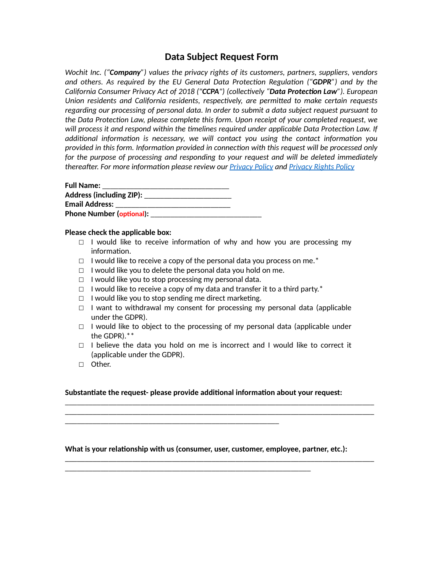# **Data Subject Request Form**

*Wochit Inc. ("Company") values the privacy rights of its customers, partners, suppliers, vendors and others. As required by the EU General Data Protection Regulation ("GDPR") and by the California Consumer Privacy Act of 2018 ("CCPA") (collectively "Data Protection Law"). European* Union residents and California residents, respectively, are permitted to make certain requests *regarding our processing of personal data. In order to submit a data subject request pursuant to the Data ProtecEon Law, please complete this form. Upon receipt of your completed request, we*  will process it and respond within the timelines required under applicable Data Protection Law. If additional information is necessary, we will contact you using the contact information you provided in this form. Information provided in connection with this request will be processed only for the purpose of processing and responding to your request and will be deleted immediately *thereaRer. For more informaEon please review our [Privacy Policy](https://www.wochit.com/privacy/) and [Privacy Rights Policy](https://www.wochit.com/privacy-rights/)*

| <b>Full Name:</b>               |  |
|---------------------------------|--|
| Address (including ZIP):        |  |
| <b>Email Address:</b>           |  |
| <b>Phone Number (optional):</b> |  |

# **Please check the applicable box:**

- $\Box$  I would like to receive information of why and how you are processing my information.
- $\Box$  I would like to receive a copy of the personal data you process on me.<sup>\*</sup>
- $\Box$  I would like you to delete the personal data you hold on me.
- $\Box$  I would like you to stop processing my personal data.
- $\Box$  I would like to receive a copy of my data and transfer it to a third party.\*
- $\Box$  I would like you to stop sending me direct marketing.

\_\_\_\_\_\_\_\_\_\_\_\_\_\_\_\_\_\_\_\_\_\_\_\_\_\_\_\_\_\_\_\_\_\_\_\_\_\_\_\_\_\_\_\_\_\_\_\_\_\_\_\_\_\_

- $\Box$  I want to withdrawal my consent for processing my personal data (applicable under the GDPR).
- $\Box$  I would like to object to the processing of my personal data (applicable under the GDPR).\*\*
- $\Box$  I believe the data you hold on me is incorrect and I would like to correct it (applicable under the GDPR).

\_\_\_\_\_\_\_\_\_\_\_\_\_\_\_\_\_\_\_\_\_\_\_\_\_\_\_\_\_\_\_\_\_\_\_\_\_\_\_\_\_\_\_\_\_\_\_\_\_\_\_\_\_\_\_\_\_\_\_\_\_\_\_\_\_\_\_\_\_\_\_\_\_\_\_\_\_\_ \_\_\_\_\_\_\_\_\_\_\_\_\_\_\_\_\_\_\_\_\_\_\_\_\_\_\_\_\_\_\_\_\_\_\_\_\_\_\_\_\_\_\_\_\_\_\_\_\_\_\_\_\_\_\_\_\_\_\_\_\_\_\_\_\_\_\_\_\_\_\_\_\_\_\_\_\_\_

\_\_\_\_\_\_\_\_\_\_\_\_\_\_\_\_\_\_\_\_\_\_\_\_\_\_\_\_\_\_\_\_\_\_\_\_\_\_\_\_\_\_\_\_\_\_\_\_\_\_\_\_\_\_\_\_\_\_\_\_\_\_\_\_\_\_\_\_\_\_\_\_\_\_\_\_\_\_

☐ Other.

### Substantiate the request- please provide additional information about your request:

### What is your relationship with us (consumer, user, customer, employee, partner, etc.):

\_\_\_\_\_\_\_\_\_\_\_\_\_\_\_\_\_\_\_\_\_\_\_\_\_\_\_\_\_\_\_\_\_\_\_\_\_\_\_\_\_\_\_\_\_\_\_\_\_\_\_\_\_\_\_\_\_\_\_\_\_\_